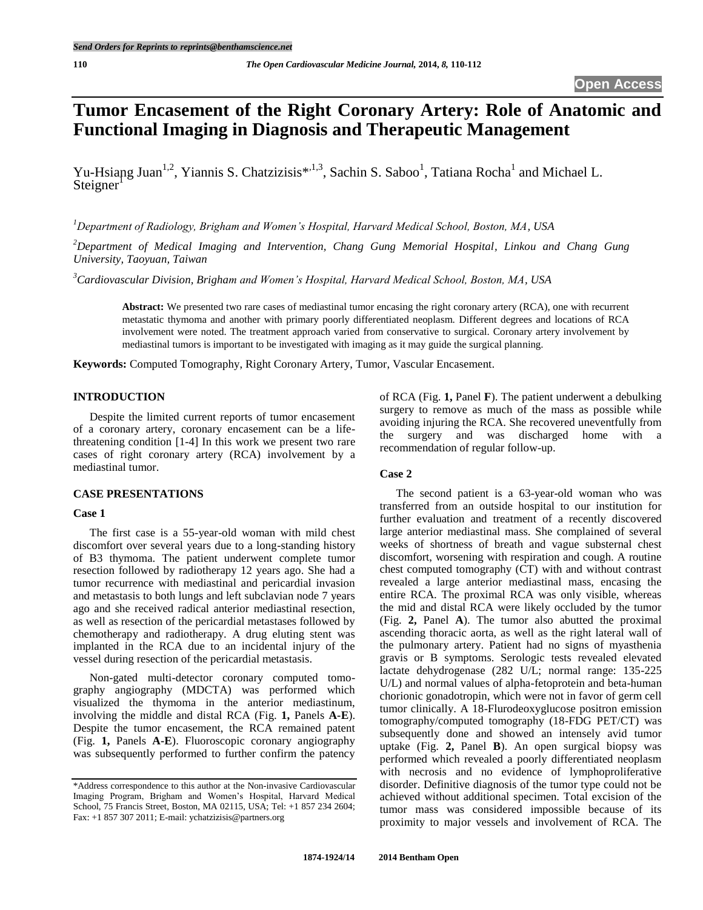# **Tumor Encasement of the Right Coronary Artery: Role of Anatomic and Functional Imaging in Diagnosis and Therapeutic Management**

Yu-Hsiang Juan<sup>1,2</sup>, Yiannis S. Chatzizisis<sup>\*,1,3</sup>, Sachin S. Saboo<sup>1</sup>, Tatiana Rocha<sup>1</sup> and Michael L.  $Steigner<sup>1</sup>$ 

*<sup>1</sup>Department of Radiology, Brigham and Women's Hospital, Harvard Medical School, Boston, MA, USA*

*<sup>2</sup>Department of Medical Imaging and Intervention, Chang Gung Memorial Hospital, Linkou and Chang Gung University, Taoyuan, Taiwan*

*<sup>3</sup>Cardiovascular Division, Brigham and Women's Hospital, Harvard Medical School, Boston, MA, USA*

**Abstract:** We presented two rare cases of mediastinal tumor encasing the right coronary artery (RCA), one with recurrent metastatic thymoma and another with primary poorly differentiated neoplasm. Different degrees and locations of RCA involvement were noted. The treatment approach varied from conservative to surgical. Coronary artery involvement by mediastinal tumors is important to be investigated with imaging as it may guide the surgical planning.

**Keywords:** Computed Tomography, Right Coronary Artery, Tumor, Vascular Encasement.

### **INTRODUCTION**

Despite the limited current reports of tumor encasement of a coronary artery, coronary encasement can be a lifethreatening condition [1-4] In this work we present two rare cases of right coronary artery (RCA) involvement by a mediastinal tumor.

# **CASE PRESENTATIONS**

## **Case 1**

The first case is a 55-year-old woman with mild chest discomfort over several years due to a long-standing history of B3 thymoma. The patient underwent complete tumor resection followed by radiotherapy 12 years ago. She had a tumor recurrence with mediastinal and pericardial invasion and metastasis to both lungs and left subclavian node 7 years ago and she received radical anterior mediastinal resection, as well as resection of the pericardial metastases followed by chemotherapy and radiotherapy. A drug eluting stent was implanted in the RCA due to an incidental injury of the vessel during resection of the pericardial metastasis.

Non-gated multi-detector coronary computed tomography angiography (MDCTA) was performed which visualized the thymoma in the anterior mediastinum, involving the middle and distal RCA (Fig. **1,** Panels **A-E**). Despite the tumor encasement, the RCA remained patent (Fig. **1,** Panels **A-E**). Fluoroscopic coronary angiography was subsequently performed to further confirm the patency of RCA (Fig. **1,** Panel **F**). The patient underwent a debulking surgery to remove as much of the mass as possible while avoiding injuring the RCA. She recovered uneventfully from the surgery and was discharged home with a recommendation of regular follow-up.

# **Case 2**

The second patient is a 63-year-old woman who was transferred from an outside hospital to our institution for further evaluation and treatment of a recently discovered large anterior mediastinal mass. She complained of several weeks of shortness of breath and vague substernal chest discomfort, worsening with respiration and cough. A routine chest computed tomography (CT) with and without contrast revealed a large anterior mediastinal mass, encasing the entire RCA. The proximal RCA was only visible, whereas the mid and distal RCA were likely occluded by the tumor (Fig. **2,** Panel **A**). The tumor also abutted the proximal ascending thoracic aorta, as well as the right lateral wall of the pulmonary artery. Patient had no signs of myasthenia gravis or B symptoms. Serologic tests revealed elevated lactate dehydrogenase (282 U/L; normal range: 135-225 U/L) and normal values of alpha-fetoprotein and beta-human chorionic gonadotropin, which were not in favor of germ cell tumor clinically. A 18-Flurodeoxyglucose positron emission tomography/computed tomography (18-FDG PET/CT) was subsequently done and showed an intensely avid tumor uptake (Fig. **2,** Panel **B**). An open surgical biopsy was performed which revealed a poorly differentiated neoplasm with necrosis and no evidence of lymphoproliferative disorder. Definitive diagnosis of the tumor type could not be achieved without additional specimen. Total excision of the tumor mass was considered impossible because of its proximity to major vessels and involvement of RCA. The

<sup>\*</sup>Address correspondence to this author at the Non-invasive Cardiovascular Imaging Program, Brigham and Women's Hospital, Harvard Medical School, 75 Francis Street, Boston, MA 02115, USA; Tel: +1 857 234 2604; Fax: +1 857 307 2011; E-mail: ychatzizisis@partners.org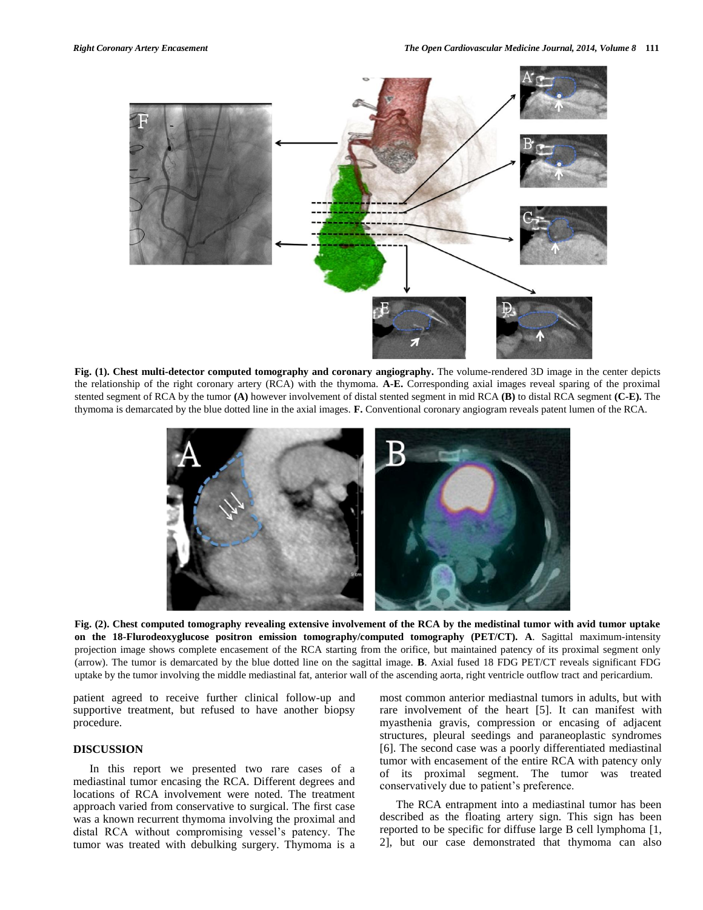

**Fig. (1). Chest multi-detector computed tomography and coronary angiography.** The volume-rendered 3D image in the center depicts the relationship of the right coronary artery (RCA) with the thymoma. **A-E.** Corresponding axial images reveal sparing of the proximal stented segment of RCA by the tumor **(A)** however involvement of distal stented segment in mid RCA **(B)** to distal RCA segment **(C-E).** The thymoma is demarcated by the blue dotted line in the axial images. **F.** Conventional coronary angiogram reveals patent lumen of the RCA.



**Fig. (2). Chest computed tomography revealing extensive involvement of the RCA by the medistinal tumor with avid tumor uptake on the 18-Flurodeoxyglucose positron emission tomography/computed tomography (PET/CT). A**. Sagittal maximum-intensity projection image shows complete encasement of the RCA starting from the orifice, but maintained patency of its proximal segment only (arrow). The tumor is demarcated by the blue dotted line on the sagittal image. **B**. Axial fused 18 FDG PET/CT reveals significant FDG uptake by the tumor involving the middle mediastinal fat, anterior wall of the ascending aorta, right ventricle outflow tract and pericardium.

patient agreed to receive further clinical follow-up and supportive treatment, but refused to have another biopsy procedure.

## **DISCUSSION**

In this report we presented two rare cases of a mediastinal tumor encasing the RCA. Different degrees and locations of RCA involvement were noted. The treatment approach varied from conservative to surgical. The first case was a known recurrent thymoma involving the proximal and distal RCA without compromising vessel's patency. The tumor was treated with debulking surgery. Thymoma is a most common anterior mediastnal tumors in adults, but with rare involvement of the heart [5]. It can manifest with myasthenia gravis, compression or encasing of adjacent structures, pleural seedings and paraneoplastic syndromes [6]. The second case was a poorly differentiated mediastinal tumor with encasement of the entire RCA with patency only of its proximal segment. The tumor was treated conservatively due to patient's preference.

The RCA entrapment into a mediastinal tumor has been described as the floating artery sign. This sign has been reported to be specific for diffuse large B cell lymphoma [1, 2], but our case demonstrated that thymoma can also